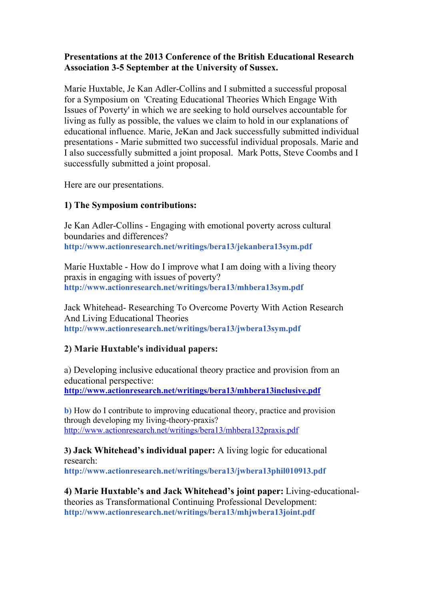## **Presentations at the 2013 Conference of the British Educational Research Association 3-5 September at the University of Sussex.**

Marie Huxtable, Je Kan Adler-Collins and I submitted a successful proposal for a Symposium on 'Creating Educational Theories Which Engage With Issues of Poverty' in which we are seeking to hold ourselves accountable for living as fully as possible, the values we claim to hold in our explanations of educational influence. Marie, JeKan and Jack successfully submitted individual presentations - Marie submitted two successful individual proposals. Marie and I also successfully submitted a joint proposal. Mark Potts, Steve Coombs and I successfully submitted a joint proposal.

Here are our presentations.

## **1) The Symposium contributions:**

Je Kan Adler-Collins - Engaging with emotional poverty across cultural boundaries and differences? **http://www.actionresearch.net/writings/bera13/jekanbera13sym.pdf**

Marie Huxtable - How do I improve what I am doing with a living theory praxis in engaging with issues of poverty? **http://www.actionresearch.net/writings/bera13/mhbera13sym.pdf**

Jack Whitehead- Researching To Overcome Poverty With Action Research And Living Educational Theories **http://www.actionresearch.net/writings/bera13/jwbera13sym.pdf**

## **2) Marie Huxtable's individual papers:**

a) Developing inclusive educational theory practice and provision from an educational perspective: **http://www.actionresearch.net/writings/bera13/mhbera13inclusive.pdf**

**b)** How do I contribute to improving educational theory, practice and provision through developing my living-theory-praxis? http://www.actionresearch.net/writings/bera13/mhbera132praxis.pdf

**3) Jack Whitehead's individual paper:** A living logic for educational research: **http://www.actionresearch.net/writings/bera13/jwbera13phil010913.pdf**

**4) Marie Huxtable's and Jack Whitehead's joint paper:** Living-educationaltheories as Transformational Continuing Professional Development: **http://www.actionresearch.net/writings/bera13/mhjwbera13joint.pdf**